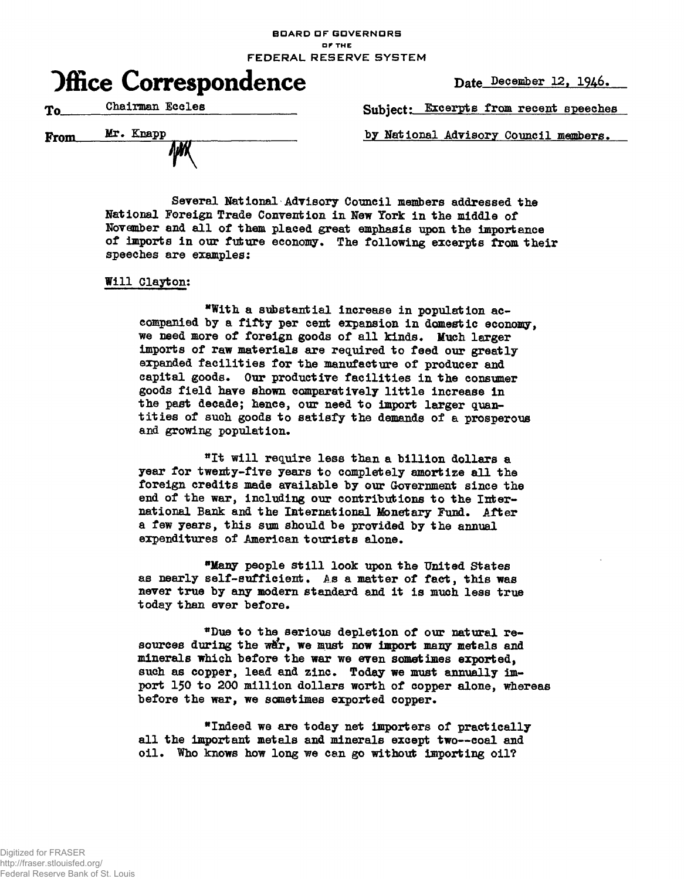**BDARD OF GOVERNORS or THE**

**FEDERAL RESERVE SYSTEM**



Chairman Eccles Subject: Excerpts from recent speeches To

From Mr. Knapp by National Advisory Council members.

Several National Advisory Council members addressed the National Foreign Trade Convention in New York in the middle of November and all of them placed great emphasis upon the importance of imports in our future economy. The following excerpts from their speeches are examples:

## Will Clayton:

"With a substantial increase in population accompanied by a fifty per cent expansion in domestic economy, we need more of foreign goods of all kinds. Much larger imports of raw materials are required to feed our greatly expanded facilities for the manufacture of producer and capital goods. Our productive facilities in the consumer goods field have shown comparatively little increase in the past decade; hence, our need to import larger quantities of such goods to satisfy the demands of a prosperous and growing population.

"It will require less than a billion dollars a year for twenty-five years to completely amortize all the foreign credits made available by our Government since the end of the war, including our contributions to the International Bank and the International Monetary Fund. After a few years, this sum should be provided by the annual expenditures of American tourists alone.

**"Many** people still look upon the United States as nearly self-sufficient. As a matter of fact, this was never true by any modern standard and it is much less true today than ever before.

\*Due to the serious depletion of our natural resources during the war, we must now import many metals and minerals which before the war we even sometimes exported, such as copper, lead and zinc. Today we must annually import 150 to 200 million dollars worth of copper alone, whereas before the war, we sometimes exported copper.

\* Indeed we are today net importers of practically all the important metals and minerals except two—coal and oil. Who knows how long we can go without importing oil?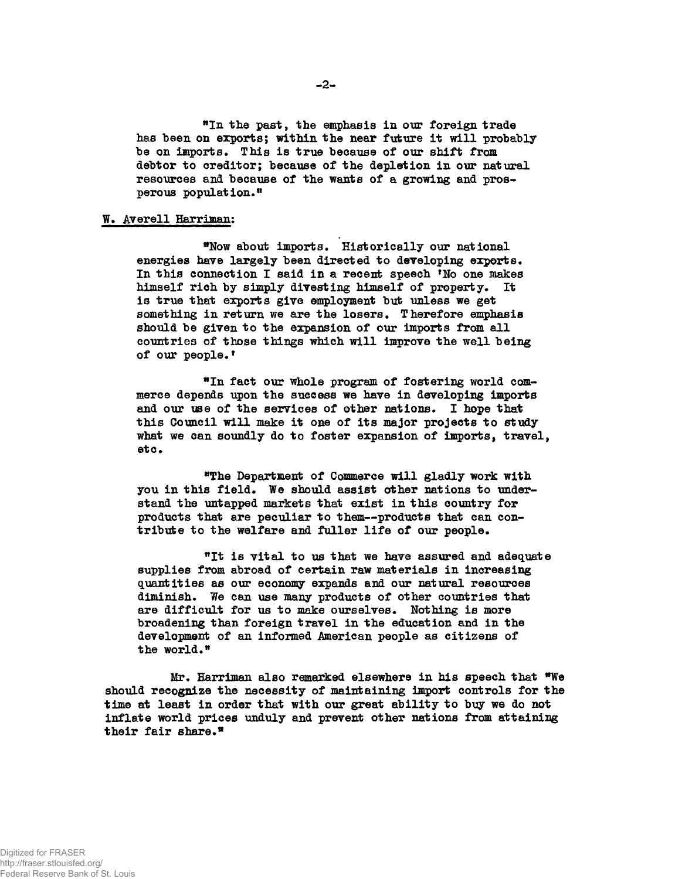\*In the past, the emphasis in our foreign trade has been on exports; within the near future it will probably be on imports. This is true because of our shift from debtor to creditor; because of the depletion in our natural resources and because of the wants of a growing and prosperous population."

## W. Averell Harriman:

"Now about imports. Historically our national energies have largely been directed to developing exports. In this connection I said in a recent speech <sup>f</sup>No one makes himself rich by simply divesting himself of property. It is true that exports give employment but unless we get something in return we are the losers. Therefore emphasis should be given to the expansion of our imports from all countries of those things which will improve the well being of our people.<sup>1</sup>

fact our whole program of fostering world commerce depends upon the success we have in developing imports and our use of the services of other nations. I hope that this Council will make it one of its major projects to study what we can soundly do to foster expansion of imports, travel, etc.

"The Department of Commerce will gladly work with you in this field. We should assist other nations to understand the untapped markets that exist in this country for products that are peculiar to them—products that can contribute to the welfare and fuller life of our people.

<sup>n</sup>It is vital to us that we have assured and adequate supplies from abroad of certain raw materials in increasing quantities as our economy expands and our natural resources diminish. We can use many products of other countries that are difficult for us to make ourselves. Nothing is more broadening than foreign travel in the education and in the development of an informed American people as citizens of the world.\*

Mr. Harriman also remarked elsewhere in his speech that "We should recognize the necessity of maintaining import controls for the time at least in order that with our great ability to buy we do not inflate world prices unduly and prevent other nations from attaining their fair share.®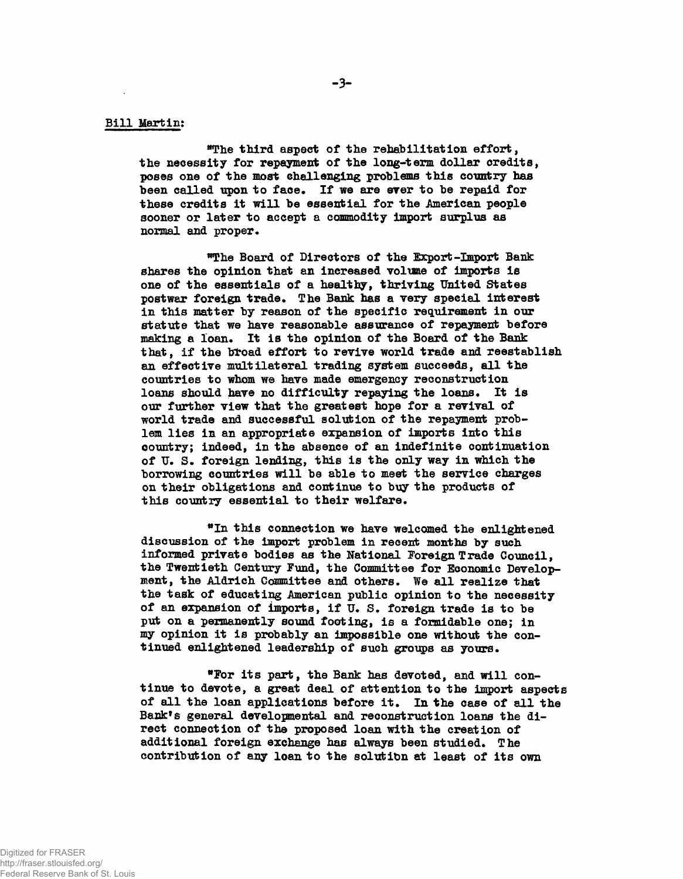**®The third aspect of the rehabilitation effort, the necessity for repayment of the long-term dollar credits, poses one of the most challenging problems this country has** been called upon to face. If we are ever to be repaid for these credits it will be essential for the American people **sooner or later to accept a commodity import surplus as normal and proper.**

**'The Board of Directors of the Export-Import Bank shares the opinion that an increased volume of imports is one of the essentials of a healthy, thriving United States postwar foreign trade. The Bank has a very special interest in this matter by reason of the specific requirement in our statute that we have reasonable assurance of repayment before making a loan. It is the opinion of the Board of the Bank that, if the bfcoad effort to revive world trade and reestablish an effective multilateral trading system succeeds, all the countries to whom we have made emergency reconstruction loans should have no difficulty repaying the loans. It is our further view that the greatest hope for a revival of world trade and successful solution of the repayment problem lies in an appropriate expansion of imports into this eountry; indeed, in the absence of an indefinite continuation of TJ. S. foreign lending, this is the only way in which the borrowing countries will be able to meet the service charges on their obligations and continue to buy the products of this country essential to their welfare.**

**this connection we have welcomed the enlightened discussion of the import problem in recent months by such informed private bodies as the National Foreign Trade Council, the Twentieth Century Fund, the Committee for Economic Development, the Aldrich Committee and others. We all realize that the task of educating American public opinion to the necessity of an expansion of imports, if U. S. foreign trade is to be put on a permanently sound footing, is a formidable one; in my opinion it is probably an impossible one without the continued enlightened leadership of such groups as yours.**

**\*For its part, the Bank has devoted, and will continue to devote, a great deal of attention to the import aspects of all the loan applications before it. In the case of all the Bank<sup>f</sup>s general developmental and reconstruction loans the direct connection of the proposed loan with the creation of additional foreign exchange has always been studied. The contribution of any loan to the solutibn at least of its own**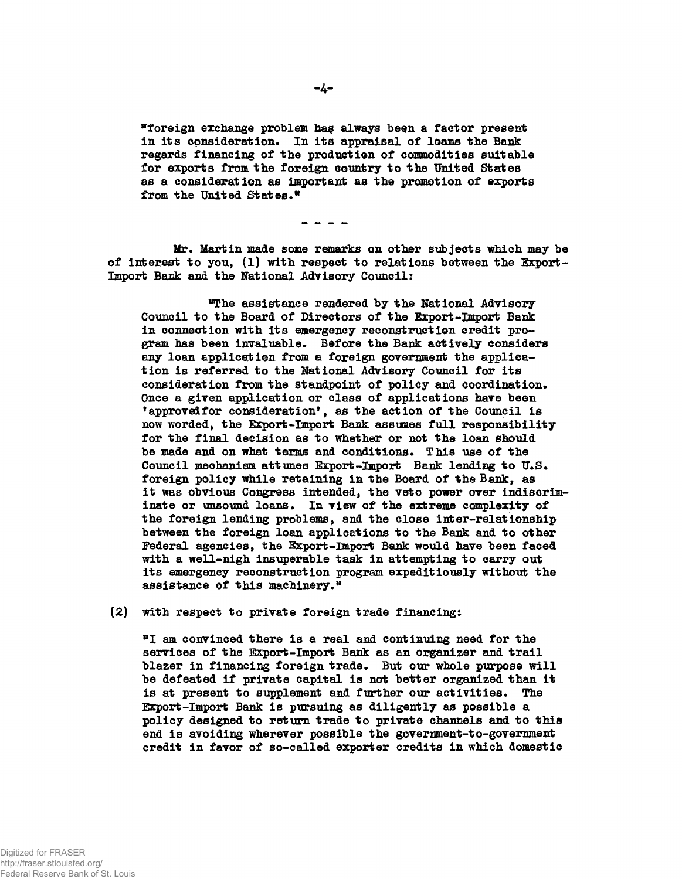\*foreign exchange problem ha§ always besn a factor present in its consideration. In its appraisal of loans the Bank regards financing of the production of commodities suitable for exports from the foreign country to the United States as a consideration as important as the promotion of exports from the United States.\*

Mr, Martin made some remarks on other subjects which may be of interest to you, (1) with respect to relations between the Ixport-Import Bank and the National Advisory Council:

"The assistance rendered by the National Advisory Council to the Board of Directors of the Export -Import Bank in connection with its emergency reconstruction credit program has been invaluable. Before the Bank actively considers any loan application from a foreign government the application is referred to the Hational Advisory Council for its consideration from the standpoint of policy and coordination. Once a given application or class of applications have been 'approved for consideration', as the action of the Council is now worded, the Ixport-Import Bank assumes full responsibility for the final decision as to whether or not the loan should be made and on what terms and conditions. This use of the Council mechanism attunes Export-Import Bank lending to  $U.S.*$ foreign policy while retaining in the Board of the Bank, as it was obvious Congress intended, the veto power over indiscriminate or unsound loans. In view of the extreme complexity of the foreign lending problems, and the close inter-relationship between the foreign loan applications to the Bank and to other Federal agencies, the Export-Import Bank would have been faced with a well-nigh insuperable task in attempting to carry out its emergency reconstruction program expeditiously without the assistance of this machinery.\*

(2) with respect to private foreign trade financing:

"I am convinced there is a real and continuing need for the services of the Export-Import Bank as an organizer and trail blazer in financing foreign trade. But our whole purpose will be defeated if private capital is not better organized than it is at present to supplement and further our activities. The Export-Import Bank is pursuing as diligently as possible a policy designed to return trade to private channels and to this end is avoiding wherever possible the government-to-government credit in favor of so-called exporter credits in which domestic